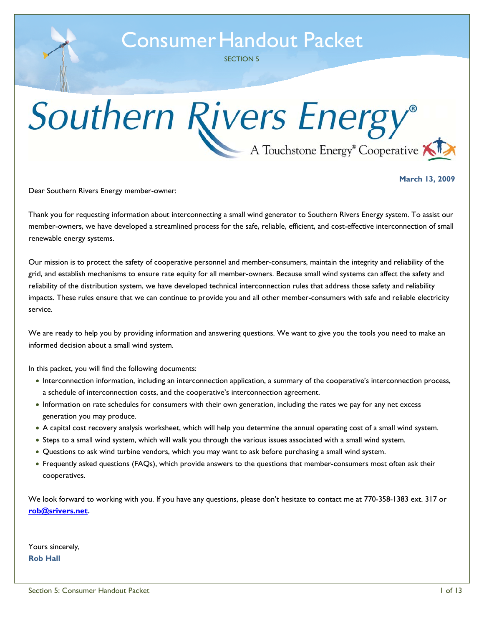SECTION 5

# Southern Rivers Energy®  $-$  A Touchstone Energy<sup>®</sup> Cooperative

**March 13, 2009** 

Dear Southern Rivers Energy member-owner:

Thank you for requesting information about interconnecting a small wind generator to Southern Rivers Energy system. To assist our member-owners, we have developed a streamlined process for the safe, reliable, efficient, and cost-effective interconnection of small renewable energy systems.

Our mission is to protect the safety of cooperative personnel and member-consumers, maintain the integrity and reliability of the grid, and establish mechanisms to ensure rate equity for all member-owners. Because small wind systems can affect the safety and reliability of the distribution system, we have developed technical interconnection rules that address those safety and reliability impacts. These rules ensure that we can continue to provide you and all other member-consumers with safe and reliable electricity service.

We are ready to help you by providing information and answering questions. We want to give you the tools you need to make an informed decision about a small wind system.

In this packet, you will find the following documents:

- Interconnection information, including an interconnection application, a summary of the cooperative's interconnection process, a schedule of interconnection costs, and the cooperative's interconnection agreement.
- Information on rate schedules for consumers with their own generation, including the rates we pay for any net excess generation you may produce.
- A capital cost recovery analysis worksheet, which will help you determine the annual operating cost of a small wind system.
- Steps to a small wind system, which will walk you through the various issues associated with a small wind system.
- Questions to ask wind turbine vendors, which you may want to ask before purchasing a small wind system.
- Frequently asked questions (FAQs), which provide answers to the questions that member-consumers most often ask their cooperatives.

We look forward to working with you. If you have any questions, please don't hesitate to contact me at 770-358-1383 ext. 317 or **[rob@srivers.net](mailto:rob@srivers.net).** 

Yours sincerely, **Rob Hall**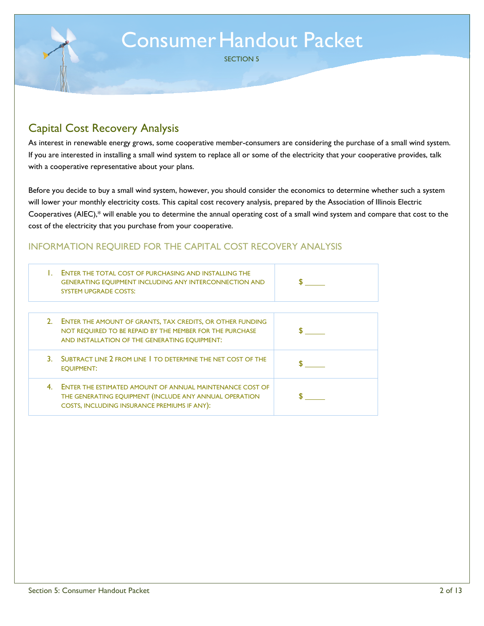SECTION 5

### Capital Cost Recovery Analysis

As interest in renewable energy grows, some cooperative member-consumers are considering the purchase of a small wind system. If you are interested in installing a small wind system to replace all or some of the electricity that your cooperative provides, talk with a cooperative representative about your plans.

Before you decide to buy a small wind system, however, you should consider the economics to determine whether such a system will lower your monthly electricity costs. This capital cost recovery analysis, prepared by the Association of Illinois Electric Cooperatives (AIEC),\* will enable you to determine the annual operating cost of a small wind system and compare that cost to the cost of the electricity that you purchase from your cooperative.

### INFORMATION REQUIRED FOR THE CAPITAL COST RECOVERY ANALYSIS

|    | ENTER THE TOTAL COST OF PURCHASING AND INSTALLING THE<br><b>GENERATING EQUIPMENT INCLUDING ANY INTERCONNECTION AND</b><br><b>SYSTEM UPGRADE COSTS:</b>                        |  |
|----|-------------------------------------------------------------------------------------------------------------------------------------------------------------------------------|--|
| 2. | <b>ENTER THE AMOUNT OF GRANTS, TAX CREDITS, OR OTHER FUNDING</b><br>NOT REQUIRED TO BE REPAID BY THE MEMBER FOR THE PURCHASE<br>AND INSTALLATION OF THE GENERATING EQUIPMENT: |  |
| 3. | SUBTRACT LINE 2 FROM LINE   TO DETERMINE THE NET COST OF THE<br><b>EQUIPMENT:</b>                                                                                             |  |
| 4  | <b>ENTER THE ESTIMATED AMOUNT OF ANNUAL MAINTENANCE COST OF</b><br>THE GENERATING EQUIPMENT (INCLUDE ANY ANNUAL OPERATION<br>COSTS, INCLUDING INSURANCE PREMIUMS IF ANY):     |  |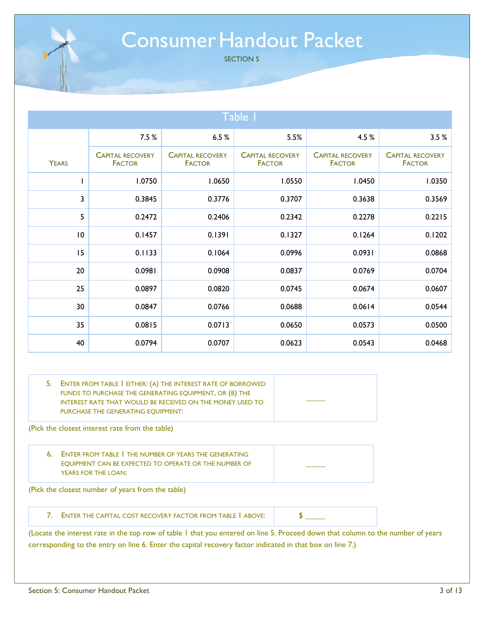SECTION 5

| Table 1      |                                          |                                          |                                          |                                          |                                          |
|--------------|------------------------------------------|------------------------------------------|------------------------------------------|------------------------------------------|------------------------------------------|
|              | 7.5%                                     | 6.5%                                     | 5.5%                                     | 4.5 %                                    | 3.5%                                     |
| <b>YEARS</b> | <b>CAPITAL RECOVERY</b><br><b>FACTOR</b> | <b>CAPITAL RECOVERY</b><br><b>FACTOR</b> | <b>CAPITAL RECOVERY</b><br><b>FACTOR</b> | <b>CAPITAL RECOVERY</b><br><b>FACTOR</b> | <b>CAPITAL RECOVERY</b><br><b>FACTOR</b> |
| L            | 1.0750                                   | 1.0650                                   | 1.0550                                   | 1.0450                                   | 1.0350                                   |
| 3            | 0.3845                                   | 0.3776                                   | 0.3707                                   | 0.3638                                   | 0.3569                                   |
| 5            | 0.2472                                   | 0.2406                                   | 0.2342                                   | 0.2278                                   | 0.2215                                   |
| 10           | 0.1457                                   | 0.1391                                   | 0.1327                                   | 0.1264                                   | 0.1202                                   |
| 15           | 0.1133                                   | 0.1064                                   | 0.0996                                   | 0.0931                                   | 0.0868                                   |
| 20           | 0.0981                                   | 0.0908                                   | 0.0837                                   | 0.0769                                   | 0.0704                                   |
| 25           | 0.0897                                   | 0.0820                                   | 0.0745                                   | 0.0674                                   | 0.0607                                   |
| 30           | 0.0847                                   | 0.0766                                   | 0.0688                                   | 0.0614                                   | 0.0544                                   |
| 35           | 0.0815                                   | 0.0713                                   | 0.0650                                   | 0.0573                                   | 0.0500                                   |
| 40           | 0.0794                                   | 0.0707                                   | 0.0623                                   | 0.0543                                   | 0.0468                                   |

| ENTER FROM TABLE   EITHER: (A) THE INTEREST RATE OF BORROWED<br>FUNDS TO PURCHASE THE GENERATING EQUIPMENT, OR (B) THE<br>INTEREST RATE THAT WOULD BE RECEIVED ON THE MONEY USED TO<br>PURCHASE THE GENERATING EOUIPMENT: |  |
|---------------------------------------------------------------------------------------------------------------------------------------------------------------------------------------------------------------------------|--|
|                                                                                                                                                                                                                           |  |

(Pick the closest interest rate from the table)

6. ENTER FROM TABLE 1 THE NUMBER OF YEARS THE GENERATING EQUIPMENT CAN BE EXPECTED TO OPERATE OR THE NUMBER OF YEARS FOR THE LOAN:

(Pick the closest number of years from the table)

7. ENTER THE CAPITAL COST RECOVERY FACTOR FROM TABLE 1 ABOVE:  $\parallel$  \$

(Locate the interest rate in the top row of table 1 that you entered on line 5. Proceed down that column to the number of years corresponding to the entry on line 6. Enter the capital recovery factor indicated in that box on line 7.)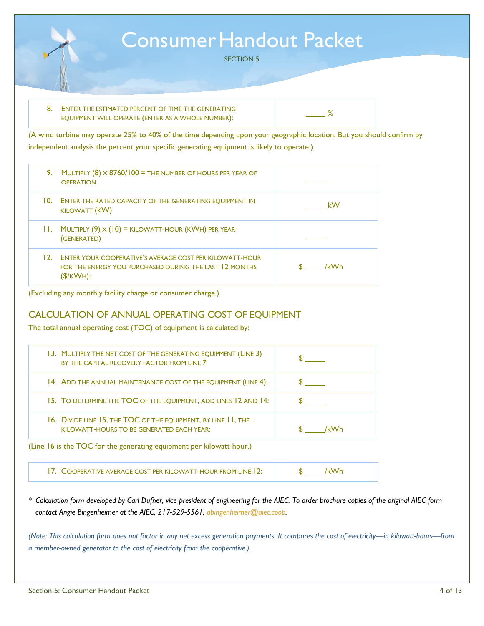

| 8. ENTER THE ESTIMATED PERCENT OF TIME THE GENERATING |  |
|-------------------------------------------------------|--|
| EQUIPMENT WILL OPERATE (ENTER AS A WHOLE NUMBER):     |  |

(A wind turbine may operate 25% to 40% of the time depending upon your geographic location. But you should confirm by independent analysis the percent your specific generating equipment is likely to operate.)

| 9.  | MULTIPLY $(8) \times 8760/100 =$ The number of hours per year of<br><b>OPERATION</b>                                          |      |
|-----|-------------------------------------------------------------------------------------------------------------------------------|------|
| 10. | <b>ENTER THE RATED CAPACITY OF THE GENERATING EOUIPMENT IN</b><br><b>KILOWATT (KW)</b>                                        | kW   |
|     | 11. MULTIPLY $(9) \times (10) =$ KILOWATT-HOUR (KWH) PER YEAR<br>(GENERATED)                                                  |      |
| 12. | ENTER YOUR COOPERATIVE'S AVERAGE COST PER KILOWATT-HOUR<br>FOR THE ENERGY YOU PURCHASED DURING THE LAST 12 MONTHS<br>(S/KWH): | /kWh |

(Excluding any monthly facility charge or consumer charge.)

#### CALCULATION OF ANNUAL OPERATING COST OF EQUIPMENT

The total annual operating cost (TOC) of equipment is calculated by:

| 13. MULTIPLY THE NET COST OF THE GENERATING EQUIPMENT (LINE 3)<br>BY THE CAPITAL RECOVERY FACTOR FROM LINE 7 |      |  |  |
|--------------------------------------------------------------------------------------------------------------|------|--|--|
| 14. ADD THE ANNUAL MAINTENANCE COST OF THE EQUIPMENT (LINE 4):                                               |      |  |  |
| 15. TO DETERMINE THE TOC OF THE EQUIPMENT, ADD LINES 12 AND 14:                                              |      |  |  |
| 16. DIVIDE LINE 15, THE TOC OF THE EQUIPMENT, BY LINE 11, THE<br>KILOWATT-HOURS TO BE GENERATED EACH YEAR:   | /kWh |  |  |
| (Line 16 is the TOC for the generating equipment per kilowatt-hour.)                                         |      |  |  |
| 17. COOPERATIVE AVERAGE COST PER KILOWATT-HOUR FROM LINE 12:                                                 | /kWh |  |  |

*\* Calculation form developed by Carl Dufner, vice president of engineering for the AIEC. To order brochure copies of the original AIEC form contact Angie Bingenheimer at the AIEC, 217-529-5561, abingenheimer@aiec.coop.* 

*(Note: This calculation form does not factor in any net excess generation payments. It compares the cost of electricity—in kilowatt-hours—from a member-owned generator to the cost of electricity from the cooperative.)*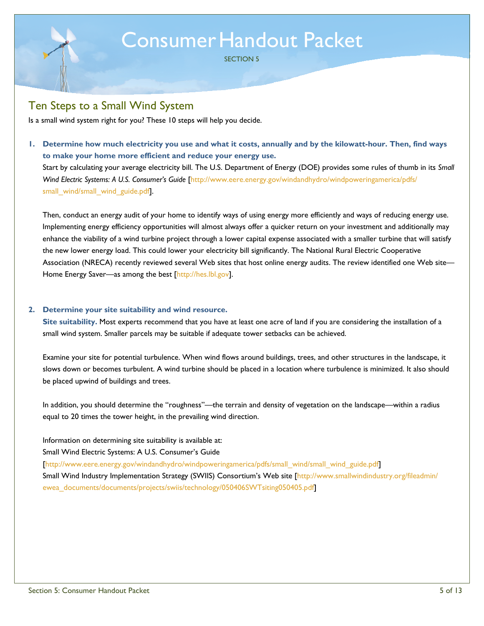SECTION 5

### Ten Steps to a Small Wind System

Is a small wind system right for you? These 10 steps will help you decide.

**1. Determine how much electricity you use and what it costs, annually and by the kilowatt-hour. Then, find ways to make your home more efficient and reduce your energy use.**  Start by calculating your average electricity bill. The U.S. Department of Energy (DOE) provides some rules of thumb in its *Small*  Wind Electric Systems: A U.S. Consumer's Guide [http://www.eere.energy.gov/windandhydro/windpoweringamerica/pdfs/

small\_wind/small\_wind\_guide.pdf].

Then, conduct an energy audit of your home to identify ways of using energy more efficiently and ways of reducing energy use. Implementing energy efficiency opportunities will almost always offer a quicker return on your investment and additionally may enhance the viability of a wind turbine project through a lower capital expense associated with a smaller turbine that will satisfy the new lower energy load. This could lower your electricity bill significantly. The National Rural Electric Cooperative Association (NRECA) recently reviewed several Web sites that host online energy audits. The review identified one Web site— Home Energy Saver—as among the best [http://hes.lbl.gov].

#### **2. Determine your site suitability and wind resource.**

**Site suitability.** Most experts recommend that you have at least one acre of land if you are considering the installation of a small wind system. Smaller parcels may be suitable if adequate tower setbacks can be achieved.

Examine your site for potential turbulence. When wind flows around buildings, trees, and other structures in the landscape, it slows down or becomes turbulent. A wind turbine should be placed in a location where turbulence is minimized. It also should be placed upwind of buildings and trees.

In addition, you should determine the "roughness"—the terrain and density of vegetation on the landscape—within a radius equal to 20 times the tower height, in the prevailing wind direction.

Information on determining site suitability is available at:

Small Wind Electric Systems: A U.S. Consumer's Guide

[http://www.eere.energy.gov/windandhydro/windpoweringamerica/pdfs/small\_wind/small\_wind\_guide.pdf]

Small Wind Industry Implementation Strategy (SWIIS) Consortium's Web site [http://www.smallwindindustry.org/fileadmin/ ewea\_documents/documents/projects/swiis/technology/050406SWTsiting050405.pdf]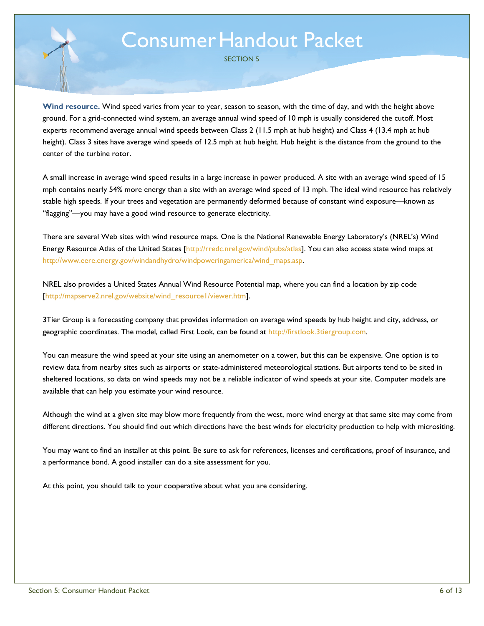SECTION 5

**Wind resource.** Wind speed varies from year to year, season to season, with the time of day, and with the height above ground. For a grid-connected wind system, an average annual wind speed of 10 mph is usually considered the cutoff. Most experts recommend average annual wind speeds between Class 2 (11.5 mph at hub height) and Class 4 (13.4 mph at hub height). Class 3 sites have average wind speeds of 12.5 mph at hub height. Hub height is the distance from the ground to the center of the turbine rotor.

A small increase in average wind speed results in a large increase in power produced. A site with an average wind speed of 15 mph contains nearly 54% more energy than a site with an average wind speed of 13 mph. The ideal wind resource has relatively stable high speeds. If your trees and vegetation are permanently deformed because of constant wind exposure—known as "flagging"—you may have a good wind resource to generate electricity.

There are several Web sites with wind resource maps. One is the National Renewable Energy Laboratory's (NREL's) Wind Energy Resource Atlas of the United States [http://rredc.nrel.gov/wind/pubs/atlas]. You can also access state wind maps at http://www.eere.energy.gov/windandhydro/windpoweringamerica/wind\_maps.asp.

NREL also provides a United States Annual Wind Resource Potential map, where you can find a location by zip code [http://mapserve2.nrel.gov/website/wind\_resource1/viewer.htm].

3Tier Group is a forecasting company that provides information on average wind speeds by hub height and city, address, or geographic coordinates. The model, called First Look, can be found at http://firstlook.3tiergroup.com.

You can measure the wind speed at your site using an anemometer on a tower, but this can be expensive. One option is to review data from nearby sites such as airports or state-administered meteorological stations. But airports tend to be sited in sheltered locations, so data on wind speeds may not be a reliable indicator of wind speeds at your site. Computer models are available that can help you estimate your wind resource.

Although the wind at a given site may blow more frequently from the west, more wind energy at that same site may come from different directions. You should find out which directions have the best winds for electricity production to help with micrositing.

You may want to find an installer at this point. Be sure to ask for references, licenses and certifications, proof of insurance, and a performance bond. A good installer can do a site assessment for you.

At this point, you should talk to your cooperative about what you are considering.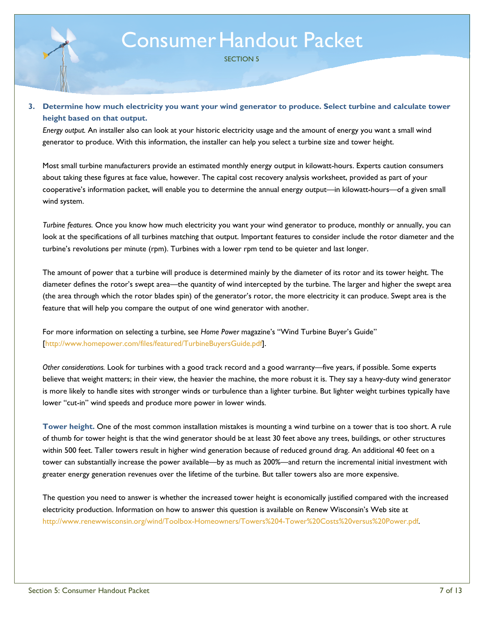SECTION 5

#### **3. Determine how much electricity you want your wind generator to produce. Select turbine and calculate tower height based on that output.**

*Energy output.* An installer also can look at your historic electricity usage and the amount of energy you want a small wind generator to produce. With this information, the installer can help you select a turbine size and tower height.

Most small turbine manufacturers provide an estimated monthly energy output in kilowatt-hours. Experts caution consumers about taking these figures at face value, however. The capital cost recovery analysis worksheet, provided as part of your cooperative's information packet, will enable you to determine the annual energy output—in kilowatt-hours—of a given small wind system.

*Turbine features.* Once you know how much electricity you want your wind generator to produce, monthly or annually, you can look at the specifications of all turbines matching that output. Important features to consider include the rotor diameter and the turbine's revolutions per minute (rpm). Turbines with a lower rpm tend to be quieter and last longer.

The amount of power that a turbine will produce is determined mainly by the diameter of its rotor and its tower height. The diameter defines the rotor's swept area—the quantity of wind intercepted by the turbine. The larger and higher the swept area (the area through which the rotor blades spin) of the generator's rotor, the more electricity it can produce. Swept area is the feature that will help you compare the output of one wind generator with another.

For more information on selecting a turbine, see *Home Power* magazine's "Wind Turbine Buyer's Guide" [http://www.homepower.com/files/featured/TurbineBuyersGuide.pdf].

*Other considerations.* Look for turbines with a good track record and a good warranty—five years, if possible. Some experts believe that weight matters; in their view, the heavier the machine, the more robust it is. They say a heavy-duty wind generator is more likely to handle sites with stronger winds or turbulence than a lighter turbine. But lighter weight turbines typically have lower "cut-in" wind speeds and produce more power in lower winds.

**Tower height.** One of the most common installation mistakes is mounting a wind turbine on a tower that is too short. A rule of thumb for tower height is that the wind generator should be at least 30 feet above any trees, buildings, or other structures within 500 feet. Taller towers result in higher wind generation because of reduced ground drag. An additional 40 feet on a tower can substantially increase the power available—by as much as 200%—and return the incremental initial investment with greater energy generation revenues over the lifetime of the turbine. But taller towers also are more expensive.

The question you need to answer is whether the increased tower height is economically justified compared with the increased electricity production. Information on how to answer this question is available on Renew Wisconsin's Web site at http://www.renewwisconsin.org/wind/Toolbox-Homeowners/Towers%204-Tower%20Costs%20versus%20Power.pdf.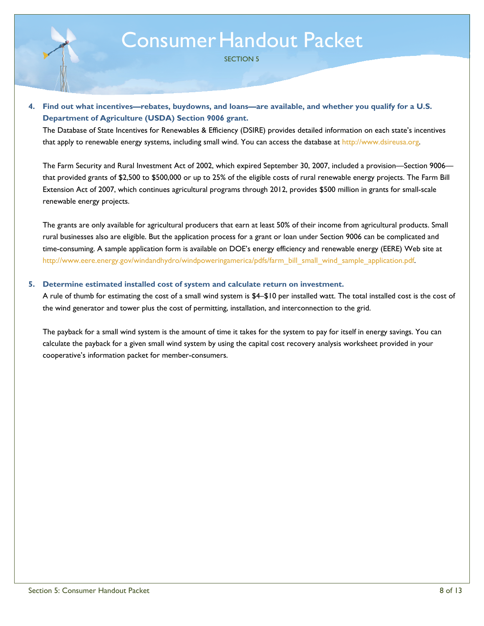SECTION 5

#### **4. Find out what incentives—rebates, buydowns, and loans—are available, and whether you qualify for a U.S. Department of Agriculture (USDA) Section 9006 grant.**

The Database of State Incentives for Renewables & Efficiency (DSIRE) provides detailed information on each state's incentives that apply to renewable energy systems, including small wind. You can access the database at http://www.dsireusa.org.

The Farm Security and Rural Investment Act of 2002, which expired September 30, 2007, included a provision—Section 9006 that provided grants of \$2,500 to \$500,000 or up to 25% of the eligible costs of rural renewable energy projects. The Farm Bill Extension Act of 2007, which continues agricultural programs through 2012, provides \$500 million in grants for small-scale renewable energy projects.

The grants are only available for agricultural producers that earn at least 50% of their income from agricultural products. Small rural businesses also are eligible. But the application process for a grant or loan under Section 9006 can be complicated and time-consuming. A sample application form is available on DOE's energy efficiency and renewable energy (EERE) Web site at http://www.eere.energy.gov/windandhydro/windpoweringamerica/pdfs/farm\_bill\_small\_wind\_sample\_application.pdf.

#### **5. Determine estimated installed cost of system and calculate return on investment.**

A rule of thumb for estimating the cost of a small wind system is \$4–\$10 per installed watt. The total installed cost is the cost of the wind generator and tower plus the cost of permitting, installation, and interconnection to the grid.

The payback for a small wind system is the amount of time it takes for the system to pay for itself in energy savings. You can calculate the payback for a given small wind system by using the capital cost recovery analysis worksheet provided in your cooperative's information packet for member-consumers.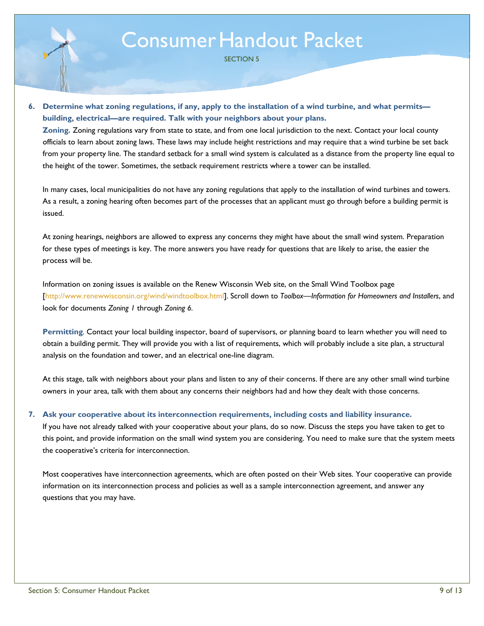SECTION 5

**6. Determine what zoning regulations, if any, apply to the installation of a wind turbine, and what permits building, electrical—are required. Talk with your neighbors about your plans.** 

**Zoning***.* Zoning regulations vary from state to state, and from one local jurisdiction to the next. Contact your local county officials to learn about zoning laws. These laws may include height restrictions and may require that a wind turbine be set back from your property line. The standard setback for a small wind system is calculated as a distance from the property line equal to the height of the tower. Sometimes, the setback requirement restricts where a tower can be installed.

In many cases, local municipalities do not have any zoning regulations that apply to the installation of wind turbines and towers. As a result, a zoning hearing often becomes part of the processes that an applicant must go through before a building permit is issued.

At zoning hearings, neighbors are allowed to express any concerns they might have about the small wind system. Preparation for these types of meetings is key. The more answers you have ready for questions that are likely to arise, the easier the process will be.

Information on zoning issues is available on the Renew Wisconsin Web site, on the Small Wind Toolbox page [http://www.renewwisconsin.org/wind/windtoolbox.html]. Scroll down to *Toolbox—Information for Homeowners and Installers*, and look for documents *Zoning 1* through *Zoning 6.*

**Permitting***.* Contact your local building inspector, board of supervisors, or planning board to learn whether you will need to obtain a building permit. They will provide you with a list of requirements, which will probably include a site plan, a structural analysis on the foundation and tower, and an electrical one-line diagram.

At this stage, talk with neighbors about your plans and listen to any of their concerns. If there are any other small wind turbine owners in your area, talk with them about any concerns their neighbors had and how they dealt with those concerns.

#### **7. Ask your cooperative about its interconnection requirements, including costs and liability insurance.**

If you have not already talked with your cooperative about your plans, do so now. Discuss the steps you have taken to get to this point, and provide information on the small wind system you are considering. You need to make sure that the system meets the cooperative's criteria for interconnection.

Most cooperatives have interconnection agreements, which are often posted on their Web sites. Your cooperative can provide information on its interconnection process and policies as well as a sample interconnection agreement, and answer any questions that you may have.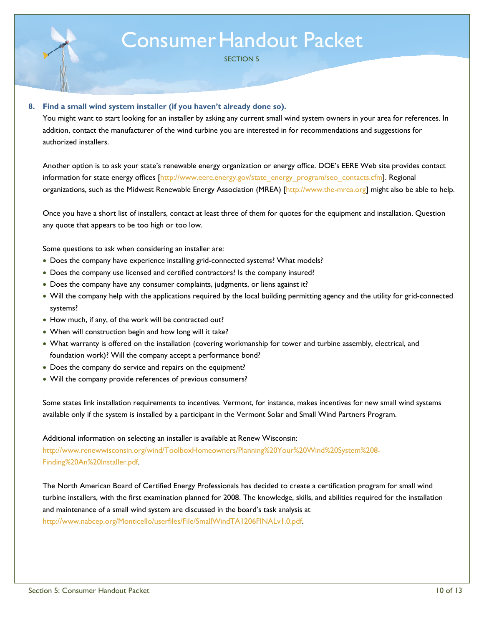SECTION 5

#### **8. Find a small wind system installer (if you haven't already done so).**

You might want to start looking for an installer by asking any current small wind system owners in your area for references. In addition, contact the manufacturer of the wind turbine you are interested in for recommendations and suggestions for authorized installers.

Another option is to ask your state's renewable energy organization or energy office. DOE's EERE Web site provides contact information for state energy offices [http://www.eere.energy.gov/state\_energy\_program/seo\_contacts.cfm]. Regional organizations, such as the Midwest Renewable Energy Association (MREA) [http://www.the-mrea.org] might also be able to help.

Once you have a short list of installers, contact at least three of them for quotes for the equipment and installation. Question any quote that appears to be too high or too low.

Some questions to ask when considering an installer are:

- Does the company have experience installing grid-connected systems? What models?
- Does the company use licensed and certified contractors? Is the company insured?
- Does the company have any consumer complaints, judgments, or liens against it?
- Will the company help with the applications required by the local building permitting agency and the utility for grid-connected systems?
- How much, if any, of the work will be contracted out?
- When will construction begin and how long will it take?
- What warranty is offered on the installation (covering workmanship for tower and turbine assembly, electrical, and foundation work)? Will the company accept a performance bond?
- Does the company do service and repairs on the equipment?
- Will the company provide references of previous consumers?

Some states link installation requirements to incentives. Vermont, for instance, makes incentives for new small wind systems available only if the system is installed by a participant in the Vermont Solar and Small Wind Partners Program.

Additional information on selecting an installer is available at Renew Wisconsin:

http://www.renewwisconsin.org/wind/ToolboxHomeowners/Planning%20Your%20Wind%20System%208- Finding%20An%20Installer.pdf.

The North American Board of Certified Energy Professionals has decided to create a certification program for small wind turbine installers, with the first examination planned for 2008. The knowledge, skills, and abilities required for the installation and maintenance of a small wind system are discussed in the board's task analysis at http://www.nabcep.org/Monticello/userfiles/File/SmallWindTA1206FINALv1.0.pdf.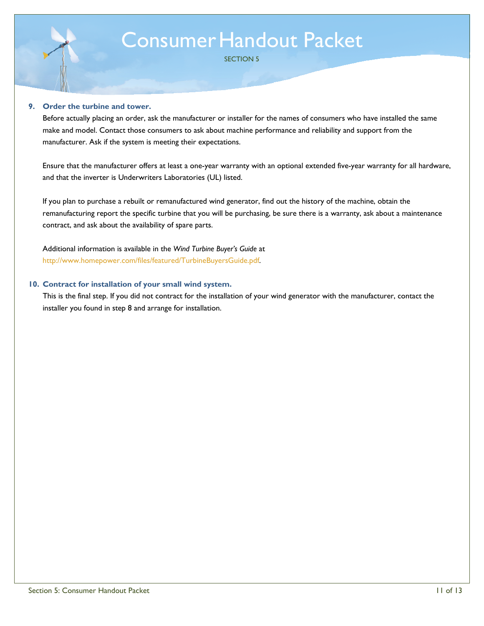SECTION 5

#### **9. Order the turbine and tower.**

Before actually placing an order, ask the manufacturer or installer for the names of consumers who have installed the same make and model. Contact those consumers to ask about machine performance and reliability and support from the manufacturer. Ask if the system is meeting their expectations.

Ensure that the manufacturer offers at least a one-year warranty with an optional extended five-year warranty for all hardware, and that the inverter is Underwriters Laboratories (UL) listed.

If you plan to purchase a rebuilt or remanufactured wind generator, find out the history of the machine, obtain the remanufacturing report the specific turbine that you will be purchasing, be sure there is a warranty, ask about a maintenance contract, and ask about the availability of spare parts.

Additional information is available in the *Wind Turbine Buyer's Guide* at http://www.homepower.com/files/featured/TurbineBuyersGuide.pdf.

#### **10. Contract for installation of your small wind system.**

This is the final step. If you did not contract for the installation of your wind generator with the manufacturer, contact the installer you found in step 8 and arrange for installation.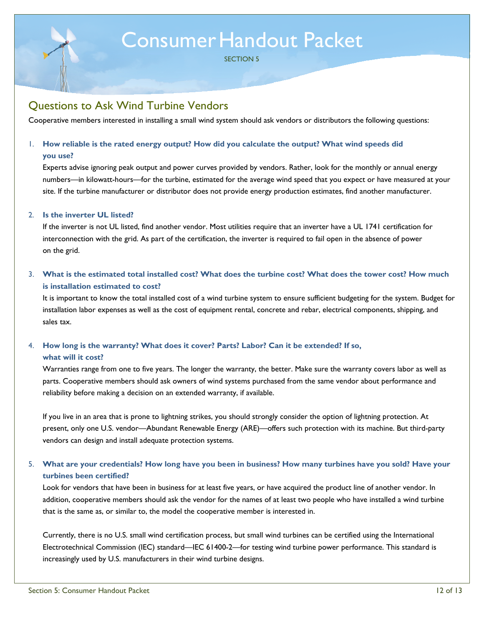SECTION 5

### Questions to Ask Wind Turbine Vendors

Cooperative members interested in installing a small wind system should ask vendors or distributors the following questions:

#### 1. **How reliable is the rated energy output? How did you calculate the output? What wind speeds did**

#### **you use?**

Experts advise ignoring peak output and power curves provided by vendors. Rather, look for the monthly or annual energy numbers—in kilowatt-hours—for the turbine, estimated for the average wind speed that you expect or have measured at your site. If the turbine manufacturer or distributor does not provide energy production estimates, find another manufacturer.

#### 2. **Is the inverter UL listed?**

If the inverter is not UL listed, find another vendor. Most utilities require that an inverter have a UL 1741 certification for interconnection with the grid. As part of the certification, the inverter is required to fail open in the absence of power on the grid.

#### 3. **What is the estimated total installed cost? What does the turbine cost? What does the tower cost? How much is installation estimated to cost?**

It is important to know the total installed cost of a wind turbine system to ensure sufficient budgeting for the system. Budget for installation labor expenses as well as the cost of equipment rental, concrete and rebar, electrical components, shipping, and sales tax.

#### 4. **How long is the warranty? What does it cover? Parts? Labor? Can it be extended? If so, what will it cost?**

Warranties range from one to five years. The longer the warranty, the better. Make sure the warranty covers labor as well as parts. Cooperative members should ask owners of wind systems purchased from the same vendor about performance and reliability before making a decision on an extended warranty, if available.

If you live in an area that is prone to lightning strikes, you should strongly consider the option of lightning protection. At present, only one U.S. vendor—Abundant Renewable Energy (ARE)—offers such protection with its machine. But third-party vendors can design and install adequate protection systems.

#### 5. **What are your credentials? How long have you been in business? How many turbines have you sold? Have your turbines been certified?**

Look for vendors that have been in business for at least five years, or have acquired the product line of another vendor. In addition, cooperative members should ask the vendor for the names of at least two people who have installed a wind turbine that is the same as, or similar to, the model the cooperative member is interested in.

Currently, there is no U.S. small wind certification process, but small wind turbines can be certified using the International Electrotechnical Commission (IEC) standard—IEC 61400-2—for testing wind turbine power performance. This standard is increasingly used by U.S. manufacturers in their wind turbine designs.